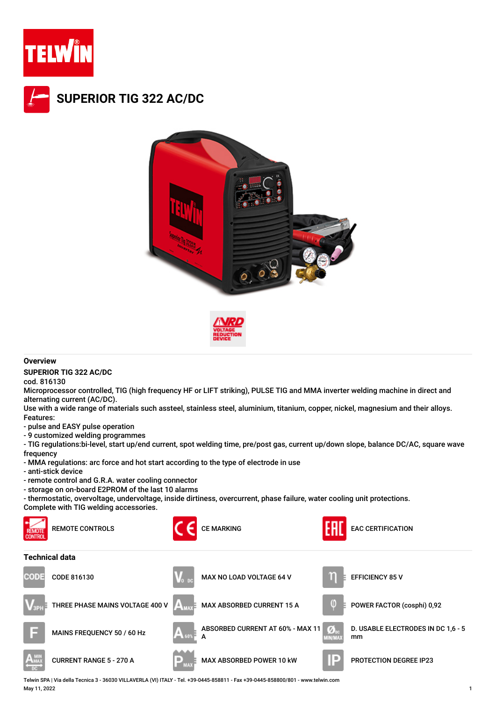







## **Overview**

**SUPERIOR TIG 322 AC/DC**

cod. 816130

Microprocessor controlled, TIG (high frequency HF or LIFT striking), PULSE TIG and MMA inverter welding machine in direct and alternating current (AC/DC).

Use with a wide range of materials such assteel, stainless steel, aluminium, titanium, copper, nickel, magnesium and their alloys. Features:

- pulse and EASY pulse operation

- 9 customized welding programmes

- TIG regulations:bi-level, start up/end current, spot welding time, pre/post gas, current up/down slope, balance DC/AC, square wave frequency

- MMA regulations: arc force and hot start according to the type of electrode in use
- anti-stick device
- remote control and G.R.A. water cooling connector
- storage on on-board E2PROM of the last 10 alarms

- thermostatic, overvoltage, undervoltage, inside dirtiness, overcurrent, phase failure, water cooling unit protections.

Complete with TIG welding accessories.



Telwin SPA | Via della Tecnica 3 - 36030 VILLAVERLA (VI) ITALY - Tel. +39-0445-858811 - Fax +39-0445-858800/801 - www.telwin.com May 11, 2022 1